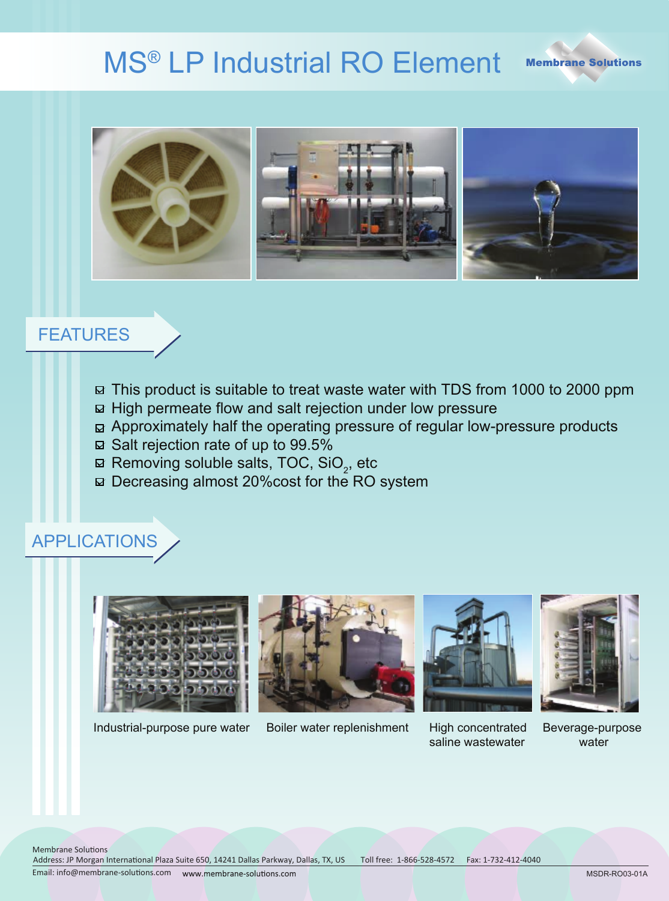# MS® LP Industrial RO Element





#### FEATURES

- $\boxtimes$  This product is suitable to treat waste water with TDS from 1000 to 2000 ppm
- $\boxdot$  High permeate flow and salt rejection under low pressure
- $\boxdot$  Approximately half the operating pressure of regular low-pressure products
- $\boxtimes$  Salt rejection rate of up to 99.5%
- Removing soluble salts, TOC, SiO $_2$ , etc
- □ Decreasing almost 20% cost for the RO system

### APPLICATIONS





Industrial-purpose pure water Boiler water replenishment High concentrated



saline wastewater



Beverage-purpose water

Address: JP Morgan International Plaza Suite 650, 14241 Dallas Parkway, Dallas, TX, US Email: info@membrane-solutions.com Membrane Solutions Toll free: 1-866-528-4572 Fax: 1-732-412-4040